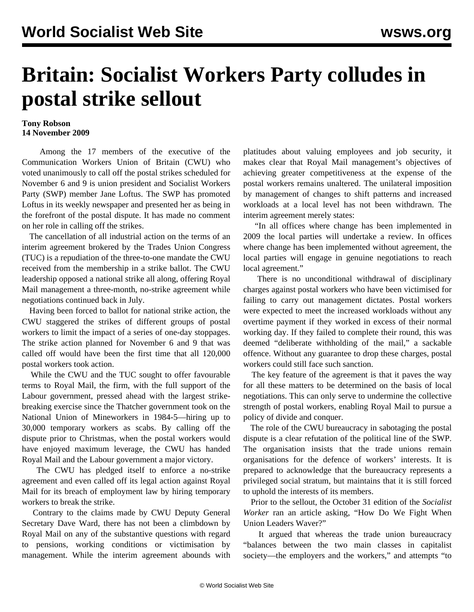## **Britain: Socialist Workers Party colludes in postal strike sellout**

## **Tony Robson 14 November 2009**

 Among the 17 members of the executive of the Communication Workers Union of Britain (CWU) who voted unanimously to call off the postal strikes scheduled for November 6 and 9 is union president and Socialist Workers Party (SWP) member Jane Loftus. The SWP has promoted Loftus in its weekly newspaper and presented her as being in the forefront of the postal dispute. It has made no comment on her role in calling off the strikes.

 The cancellation of all industrial action on the terms of an interim agreement brokered by the Trades Union Congress (TUC) is a repudiation of the three-to-one mandate the CWU received from the membership in a strike ballot. The CWU leadership opposed a national strike all along, offering Royal Mail management a three-month, no-strike agreement while negotiations continued back in July.

 Having been forced to ballot for national strike action, the CWU staggered the strikes of different groups of postal workers to limit the impact of a series of one-day stoppages. The strike action planned for November 6 and 9 that was called off would have been the first time that all 120,000 postal workers took action.

 While the CWU and the TUC sought to offer favourable terms to Royal Mail, the firm, with the full support of the Labour government, pressed ahead with the largest strikebreaking exercise since the Thatcher government took on the National Union of Mineworkers in 1984-5—hiring up to 30,000 temporary workers as scabs. By calling off the dispute prior to Christmas, when the postal workers would have enjoyed maximum leverage, the CWU has handed Royal Mail and the Labour government a major victory.

 The CWU has pledged itself to enforce a no-strike agreement and even called off its legal action against Royal Mail for its breach of employment law by hiring temporary workers to break the strike.

 Contrary to the claims made by CWU Deputy General Secretary Dave Ward, there has not been a climbdown by Royal Mail on any of the substantive questions with regard to pensions, working conditions or victimisation by management. While the interim agreement abounds with platitudes about valuing employees and job security, it makes clear that Royal Mail management's objectives of achieving greater competitiveness at the expense of the postal workers remains unaltered. The unilateral imposition by management of changes to shift patterns and increased workloads at a local level has not been withdrawn. The interim agreement merely states:

 "In all offices where change has been implemented in 2009 the local parties will undertake a review. In offices where change has been implemented without agreement, the local parties will engage in genuine negotiations to reach local agreement."

 There is no unconditional withdrawal of disciplinary charges against postal workers who have been victimised for failing to carry out management dictates. Postal workers were expected to meet the increased workloads without any overtime payment if they worked in excess of their normal working day. If they failed to complete their round, this was deemed "deliberate withholding of the mail," a sackable offence. Without any guarantee to drop these charges, postal workers could still face such sanction.

 The key feature of the agreement is that it paves the way for all these matters to be determined on the basis of local negotiations. This can only serve to undermine the collective strength of postal workers, enabling Royal Mail to pursue a policy of divide and conquer.

 The role of the CWU bureaucracy in sabotaging the postal dispute is a clear refutation of the political line of the SWP. The organisation insists that the trade unions remain organisations for the defence of workers' interests. It is prepared to acknowledge that the bureaucracy represents a privileged social stratum, but maintains that it is still forced to uphold the interests of its members.

 Prior to the sellout, the October 31 edition of the *Socialist Worker* ran an article asking, "How Do We Fight When Union Leaders Waver?"

 It argued that whereas the trade union bureaucracy "balances between the two main classes in capitalist society—the employers and the workers," and attempts "to